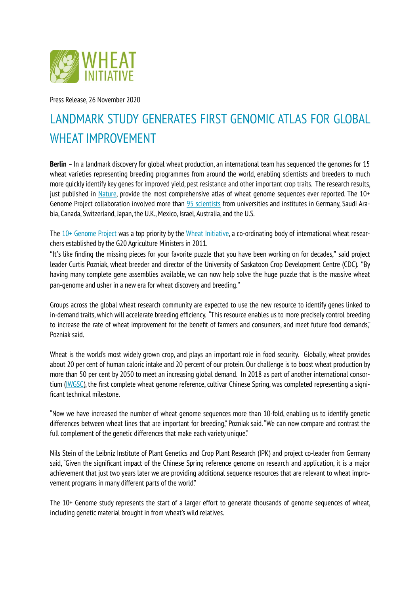

Press Release, 26 November 2020

## LANDMARK STUDY GENERATES FIRST GENOMIC ATLAS FOR GLOBAL WHEAT IMPROVEMENT

**Berlin** – In a landmark discovery for global wheat production, an international team has sequenced the genomes for 15 wheat varieties representing breeding programmes from around the world, enabling scientists and breeders to much more quickly identify key genes for improved yield, pest resistance and other important crop traits. The research results, just published in [Nature,](https://www.nature.com/articles/s41586-020-2961-x) provide the most comprehensive atlas of wheat genome sequences ever reported. The  $10+$ Genome Project collaboration involved more than [95 scientists](http://www.10wheatgenomes.com/members/) from universities and institutes in Germany, Saudi Arabia, Canada, Switzerland, Japan, the U.K., Mexico, Israel, Australia, and the U.S.

The [10+ Genome Project w](http://www.10wheatgenomes.com)as a top priority by the [Wheat Initiative](https://www.wheatinitiative.org), a co-ordinating body of international wheat researchers established by the G20 Agriculture Ministers in 2011.

"It's like finding the missing pieces for your favorite puzzle that you have been working on for decades," said project leader Curtis Pozniak, wheat breeder and director of the University of Saskatoon Crop Development Centre (CDC). "By having many complete gene assemblies available, we can now help solve the huge puzzle that is the massive wheat pan-genome and usher in a new era for wheat discovery and breeding."

Groups across the global wheat research community are expected to use the new resource to identify genes linked to in-demand traits, which will accelerate breeding efficiency. "This resource enables us to more precisely control breeding to increase the rate of wheat improvement for the benefit of farmers and consumers, and meet future food demands," Pozniak said.

Wheat is the world's most widely grown crop, and plays an important role in food security. Globally, wheat provides about 20 per cent of human caloric intake and 20 percent of our protein. Our challenge is to boost wheat production by more than 50 per cent by 2050 to meet an increasing global demand. In 2018 as part of another international consortium [\(IWGSC](https://www.wheatgenome.org)), the first complete wheat genome reference, cultivar Chinese Spring, was completed representing a significant technical milestone.

"Now we have increased the number of wheat genome sequences more than 10-fold, enabling us to identify genetic differences between wheat lines that are important for breeding," Pozniak said. "We can now compare and contrast the full complement of the genetic differences that make each variety unique."

Nils Stein of the Leibniz Institute of Plant Genetics and Crop Plant Research (IPK) and project co-leader from Germany said, "Given the significant impact of the Chinese Spring reference genome on research and application, it is a major achievement that just two years later we are providing additional sequence resources that are relevant to wheat improvement programs in many different parts of the world."

The 10+ Genome study represents the start of a larger effort to generate thousands of genome sequences of wheat, including genetic material brought in from wheat's wild relatives.